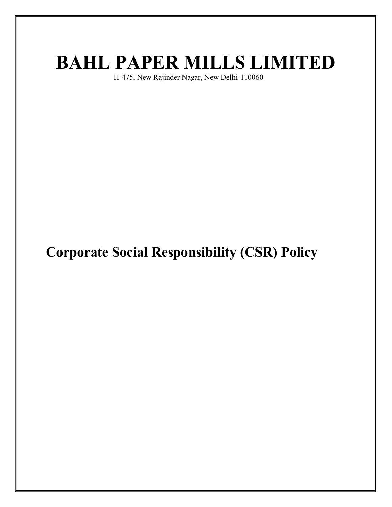# BAHL PAPER MILLS LIMITED

H-475, New Rajinder Nagar, New Delhi-110060

Corporate Social Responsibility (CSR) Policy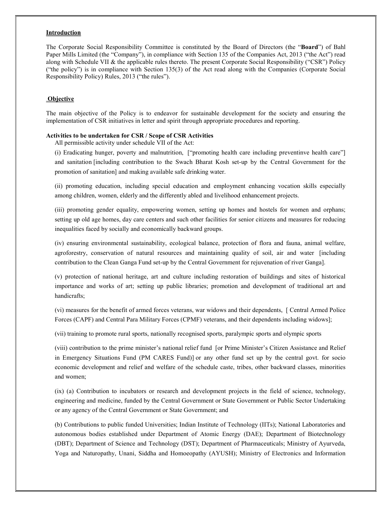#### Introduction

The Corporate Social Responsibility Committee is constituted by the Board of Directors (the "Board") of Bahl Paper Mills Limited (the "Company"), in compliance with Section 135 of the Companies Act, 2013 ("the Act") read along with Schedule VII & the applicable rules thereto. The present Corporate Social Responsibility ("CSR") Policy ("the policy") is in compliance with Section 135(3) of the Act read along with the Companies (Corporate Social Responsibility Policy) Rules, 2013 ("the rules").

### **Objective**

The main objective of the Policy is to endeavor for sustainable development for the society and ensuring the implementation of CSR initiatives in letter and spirit through appropriate procedures and reporting.

#### Activities to be undertaken for CSR / Scope of CSR Activities

All permissible activity under schedule VII of the Act:

(i) Eradicating hunger, poverty and malnutrition, ["promoting health care including preventinve health care"] and sanitation [including contribution to the Swach Bharat Kosh set-up by the Central Government for the promotion of sanitation] and making available safe drinking water.

(ii) promoting education, including special education and employment enhancing vocation skills especially among children, women, elderly and the differently abled and livelihood enhancement projects.

(iii) promoting gender equality, empowering women, setting up homes and hostels for women and orphans; setting up old age homes, day care centers and such other facilities for senior citizens and measures for reducing inequalities faced by socially and economically backward groups.

(iv) ensuring environmental sustainability, ecological balance, protection of flora and fauna, animal welfare, agroforestry, conservation of natural resources and maintaining quality of soil, air and water [including contribution to the Clean Ganga Fund set-up by the Central Government for rejuvenation of river Ganga].

(v) protection of national heritage, art and culture including restoration of buildings and sites of historical importance and works of art; setting up public libraries; promotion and development of traditional art and handicrafts;

(vi) measures for the benefit of armed forces veterans, war widows and their dependents, [ Central Armed Police Forces (CAPF) and Central Para Military Forces (CPMF) veterans, and their dependents including widows];

(vii) training to promote rural sports, nationally recognised sports, paralympic sports and olympic sports

(viii) contribution to the prime minister's national relief fund [or Prime Minister's Citizen Assistance and Relief in Emergency Situations Fund (PM CARES Fund)] or any other fund set up by the central govt. for socio economic development and relief and welfare of the schedule caste, tribes, other backward classes, minorities and women;

(ix) (a) Contribution to incubators or research and development projects in the field of science, technology, engineering and medicine, funded by the Central Government or State Government or Public Sector Undertaking or any agency of the Central Government or State Government; and

(b) Contributions to public funded Universities; Indian Institute of Technology (IITs); National Laboratories and autonomous bodies established under Department of Atomic Energy (DAE); Department of Biotechnology (DBT); Department of Science and Technology (DST); Department of Pharmaceuticals; Ministry of Ayurveda, Yoga and Naturopathy, Unani, Siddha and Homoeopathy (AYUSH); Ministry of Electronics and Information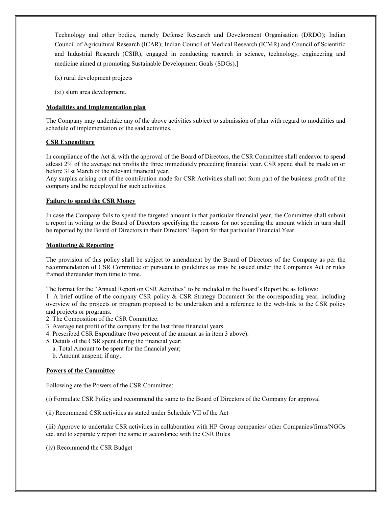Technology and other bodies, namely Defense Research and Development Organisation (DRDO); Indian Council of Agricultural Research (ICAR); Indian Council of Medical Research (ICMR) and Council of Scientific and Industrial Research (CSIR), engaged in conducting research in science, technology, engineering and medicine aimed at promoting Sustainable Development Goals (SDGs).]

- (x) rural development projects
- (xi) slum area development.

# Modalities and Implementation plan

The Company may undertake any of the above activities subject to submission of plan with regard to modalities and schedule of implementation of the said activities.

#### CSR Expenditure

In compliance of the Act & with the approval of the Board of Directors, the CSR Committee shall endeavor to spend atleast 2% of the average net profits the three immediately preceding financial year. CSR spend shall be made on or before 31st March of the relevant financial year.

Any surplus arising out of the contribution made for CSR Activities shall not form part of the business profit of the company and be redeployed for such activities.

#### Failure to spend the CSR Money

In case the Company fails to spend the targeted amount in that particular financial year, the Committee shall submit a report in writing to the Board of Directors specifying the reasons for not spending the amount which in turn shall be reported by the Board of Directors in their Directors' Report for that particular Financial Year.

#### Monitoring & Reporting

The provision of this policy shall be subject to amendment by the Board of Directors of the Company as per the recommendation of CSR Committee or pursuant to guidelines as may be issued under the Companies Act or rules framed thereunder from time to time.

The format for the "Annual Report on CSR Activities" to be included in the Board's Report be as follows:

1. A brief outline of the company CSR policy & CSR Strategy Document for the corresponding year, including overview of the projects or program proposed to be undertaken and a reference to the web‐link to the CSR policy and projects or programs.

- 2. The Composition of the CSR Committee.
- 3. Average net profit of the company for the last three financial years.
- 4. Prescribed CSR Expenditure (two percent of the amount as in item 3 above).
- 5. Details of the CSR spent during the financial year:
	- a. Total Amount to be spent for the financial year;
	- b. Amount unspent, if any;

#### Powers of the Committee

Following are the Powers of the CSR Committee:

(i) Formulate CSR Policy and recommend the same to the Board of Directors of the Company for approval

(ii) Recommend CSR activities as stated under Schedule VII of the Act

(iii) Approve to undertake CSR activities in collaboration with HP Group companies/ other Companies/firms/NGOs etc. and to separately report the same in accordance with the CSR Rules

(iv) Recommend the CSR Budget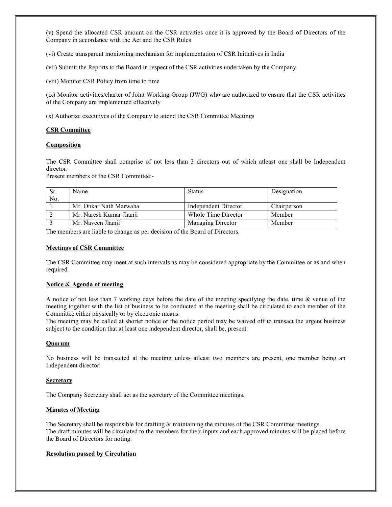(v) Spend the allocated CSR amount on the CSR activities once it is approved by the Board of Directors of the Company in accordance with the Act and the CSR Rules

(vi) Create transparent monitoring mechanism for implementation of CSR Initiatives in India

(vii) Submit the Reports to the Board in respect of the CSR activities undertaken by the Company

(viii) Monitor CSR Policy from time to time

(ix) Monitor activities/charter of Joint Working Group (JWG) who are authorized to ensure that the CSR activities of the Company are implemented effectively

(x) Authorize executives of the Company to attend the CSR Committee Meetings

# CSR Committee

#### **Composition**

The CSR Committee shall comprise of not less than 3 directors out of which atleast one shall be Independent director.

Present members of the CSR Committee:-

| Sr. | Name                    | Status               | Designation |
|-----|-------------------------|----------------------|-------------|
| No. |                         |                      |             |
|     | Mr. Onkar Nath Marwaha  | Independent Director | Chairperson |
|     | Mr. Naresh Kumar Jhanji | Whole Time Director  | Member      |
|     | Mr. Naveen Jhanji       | Managing Director    | Member      |

The members are liable to change as per decision of the Board of Directors.

## Meetings of CSR Committee

The CSR Committee may meet at such intervals as may be considered appropriate by the Committee or as and when required.

# Notice & Agenda of meeting

A notice of not less than 7 working days before the date of the meeting specifying the date, time & venue of the meeting together with the list of business to be conducted at the meeting shall be circulated to each member of the Committee either physically or by electronic means.

The meeting may be called at shorter notice or the notice period may be waived off to transact the urgent business subject to the condition that at least one independent director, shall be, present.

# **Quorum**

No business will be transacted at the meeting unless atleast two members are present, one member being an Independent director.

#### **Secretary**

The Company Secretary shall act as the secretary of the Committee meetings.

# Minutes of Meeting

The Secretary shall be responsible for drafting & maintaining the minutes of the CSR Committee meetings. The draft minutes will be circulated to the members for their inputs and each approved minutes will be placed before the Board of Directors for noting.

#### Resolution passed by Circulation